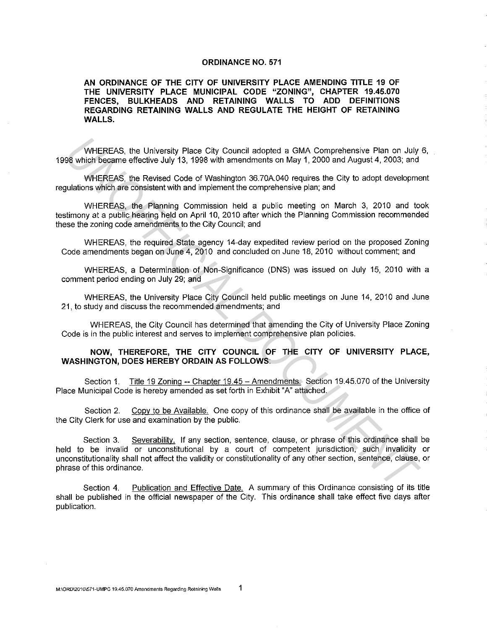## **ORDINANCE NO. 571**

**AN ORDINANCE OF THE CITY OF UNIVERSITY PLACE AMENDING TITLE 19 OF THE UNIVERSITY PLACE MUNICIPAL CODE "ZONING", CHAPTER 19.45.070 FENCES, BULKHEADS AND RETAINING WALLS TO ADD DEFINITIONS REGARDING RETAINING WALLS AND REGULATE THE HEIGHT OF RETAINING WALLS.** 

WHEREAS, the University Place City Council adopted a GMA Comprehensive Plan on July 6, 1998 which became effective July 13, 1998 with amendments on May 1, 2000 and August 4, 2003; and

WHEREAS, the Revised Code of Washington 36.70A.040 requires the City to adopt development regulations which are consistent with and implement the comprehensive plan; and

WHEREAS, the Planning Commission held a public meeting on March 3, 2010 and took testimony at a public hearing held on April 10, 2010 after which the Planning Commission recommended these the zoning code amendments to the City Council; and

WHEREAS, the required State agency 14-day expedited review period on the proposed Zoning Code amendments began on June 4, 2010 and concluded on June 18, 2010 without comment; and

WHEREAS, a Determination of Non-Significance (DNS) was issued on July 15, 2010 with a comment period ending on July 29; and

WHEREAS, the University Place City Council held public meetings on June 14, 2010 and June 21, to study and discuss the recommended amendments; and

WHEREAS, the City Council has determined that amending the City of University Place Zoning Code is in the public interest and serves to implement comprehensive plan policies.

## **NOW, THEREFORE, THE CITY COUNCIL OF THE CITY OF UNIVERSITY PLACE, WASHINGTON, DOES HEREBY ORDAIN AS FOLLOWS:**

Section 1. Title 19 Zoning -- Chapter 19.45 - Amendments. Section 19.45.070 of the University Place Municipal Code is hereby amended as set forth in Exhibit "A" attached.

Section 2. Copy to be Available. One copy of this ordinance shall be available in the office of the City Clerk for use and examination by the public.

Section 3. Severability. If any section, sentence, clause, or phrase of this ordinance shall be held to be invalid or unconstitutional by a court of competent jurisdiction, such invalidity or unconstitutionality shall not affect the validity or constitutionality of any other section, sentence, clause, or phrase of this ordinance. WHEREAS, the University Place City Council adopted a GMA Comprehensive Plan on July<br>8 which bocome effective July 13, 1998 with amendments on May 1, 2000 and August 4, 2003; and<br>98 which bocome offective July 13, 1998 with

Section 4. Publication and Effective Date. A summary of this Ordinance consisting of its title shall be published in the official newspaper of the City. This ordinance shall take effect five days after publication.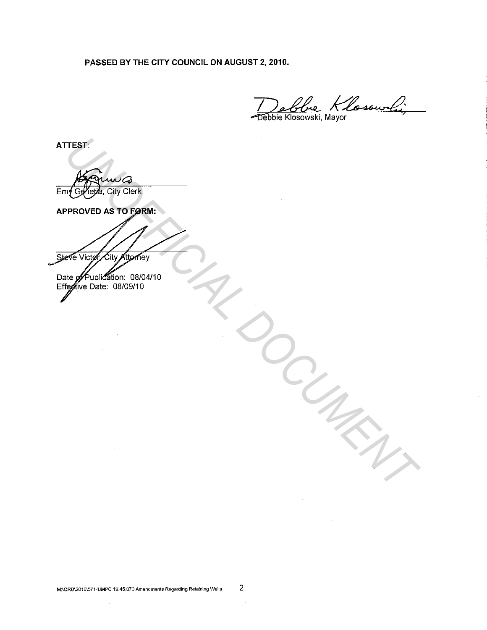PASSED BY THE CITY COUNCIL ON AUGUST 2, 2010.

1 1000 Klosowy<br>Debbie Klosowski, Mayor

ATTEST:

Emy Genetia, City Clerk

THEST.<br> **UNOFFICIAL CHAP CONTROL**<br>
PROVIDED AS TO PORTURE.<br>
THE VIDEO CONTROL CONDUCTION CONDUCTION CONDUCTION CONDUCTION CONDUCTION

M:\ORD\2010\571-UMPC 19.45.0?0Amendments Regarding Retaining Walls 2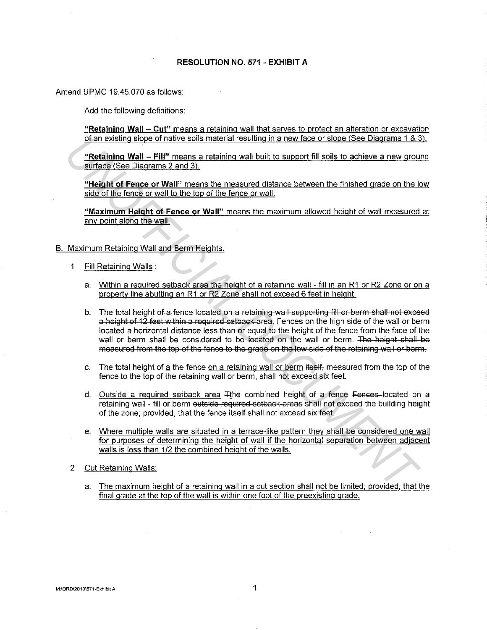## **RESOLUTION NO. 571 - EXHIBIT A**

Amend UPMC 19.45.070 as follows:

Add the following definitions:

**"Retaining Wall - Cut"** means a retaining wall that serves to protect an alteration or excavation of an existing slope of native soils material resulting in a new face or slope (See Diagrams 1 & 3).

**"Retaining Wall - Fill"** means a retaining wall built to support fill soils to achieve a new ground surface (See Diagrams 2 and 3).

**"Height of Fence or Wall"** means the measured distance between the finished grade on the low side of the fence or wall to the top of the fence or wall.

**"Maximum Height of Fence or Wall"** means the maximum allowed height of wall measured at any point along the wall.

## B. Maximum Retaining Wall and Berm Heights.

- 1 Fill Retaining Walls :
	- a. Within a required setback area the height of a retaining wall fill in an R1 or R2 Zone or on a property line abutting an R1 or R2 Zone shall not exceed 6 feet in height.
- b. The total height of a fence located on a retaining wall supporting fill or berm shall not exceed a height of 12 feet within a required setback area. Fences on the high side of the wall or berm located a horizontal distance less than or equal to the height of the fence from the face of the wall or berm shall be considered to be located on the wall or berm. The height-shall be measured from the top of the fence to the grade on the low side of the retaining wall or berm. of an existing slope of native sols material resulting in a new face or slope (See Diegrams 1.8.3<br>
"Retaining Wall - Fillm cmeans a retarning wall built to support fill solis to achieve a new group<br>
surface (See Diagrams 2
	- c. The total height of a the fence on a retaining wall or berm itself, measured from the top of the fence to the top of the retaining wall or berm, shall not exceed six feet.
	- d. Outside a required setback area Tthe combined height of a fence Fences located on a retaining wall - fill or berm outside required setback areas shall not exceed the building height of the zone; provided, that the fence itself shall not exceed six feet.
	- e. Where multiple walls are situated in a terrace-like pattern they shall be considered one wall for purposes of determining the height of wall if the horizontal separation between adjacent walls is less than 1/2 the combined height of the walls.
- 2 Cut Retaining Walls:
	- a. The maximum height of a retaining wall in a cut section shall not be limited; provided. that the final grade at the top of the wall is within one foot of the preexisting grade.